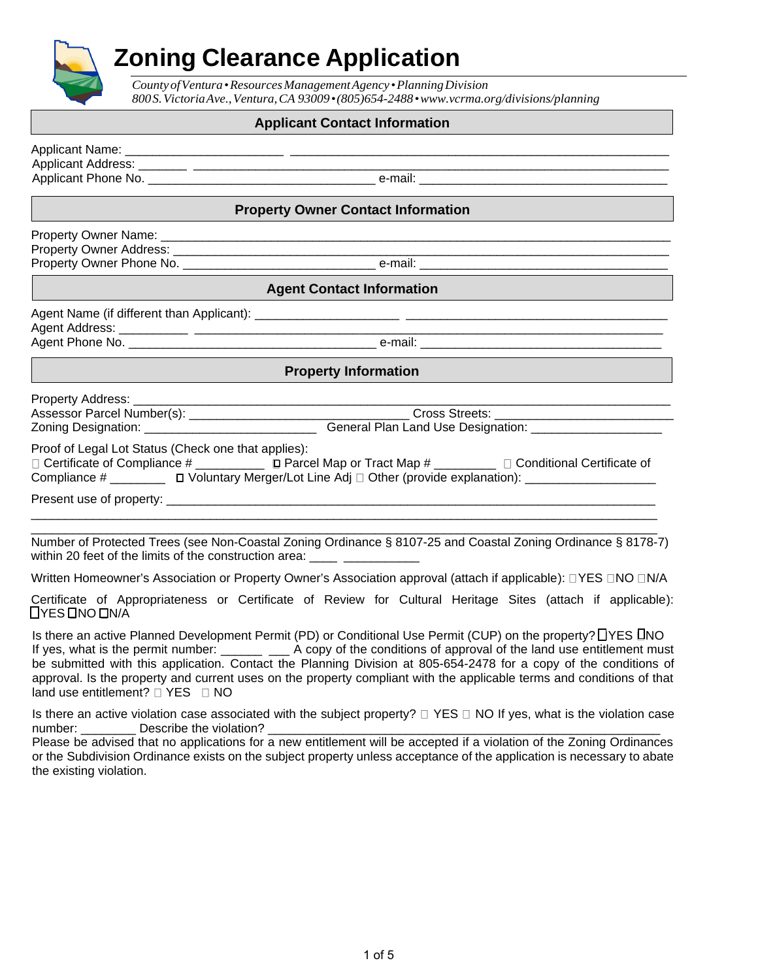# **Zoning Clearance Application**

*CountyofVentura•ResourcesManagementAgency •PlanningDivision 800S.VictoriaAve.,Ventura,CA 93009•(805)654-2488[•www.vcrma.org/divisions/planning](http://www.vcrma.org/divisions/planning)*

#### **Applicant Contact Information**

Applicant Name: \_\_\_\_\_\_\_\_\_\_\_\_\_\_\_\_\_\_\_\_\_\_\_ \_\_\_\_\_\_\_\_\_\_\_\_\_\_\_\_\_\_\_\_\_\_\_\_\_\_\_\_\_\_\_\_\_\_\_\_\_\_\_\_\_\_\_\_\_\_\_\_\_\_\_\_\_\_\_ Applicant Address: \_\_\_\_\_\_\_ \_\_\_\_\_\_\_\_\_\_\_\_\_\_\_\_\_\_\_\_\_\_\_\_\_\_\_\_\_\_\_\_\_\_\_\_\_\_\_\_\_\_\_\_\_\_\_\_\_\_\_\_\_\_\_\_\_\_\_\_\_\_\_\_\_\_\_\_\_ Applicant Phone No. \_\_\_\_\_\_\_\_\_\_\_\_\_\_\_\_\_\_\_\_\_\_\_\_\_\_\_\_\_\_\_\_\_ e-mail: \_\_\_\_\_\_\_\_\_\_\_\_\_\_\_\_\_\_\_\_\_\_\_\_\_\_\_\_\_\_\_\_\_\_\_\_

#### **Property Owner Contact Information**

Property Owner Name: \_\_\_\_\_\_\_\_\_\_\_\_\_\_\_\_\_\_\_\_\_\_\_\_\_\_\_\_\_\_\_\_\_\_\_\_\_\_\_\_\_\_\_\_\_\_\_\_\_\_\_\_\_\_\_\_\_\_\_\_\_\_\_\_\_\_\_\_\_\_\_\_\_\_ Property Owner Address: \_\_\_\_\_\_\_\_\_\_\_\_\_\_\_\_\_\_\_\_\_\_\_\_\_\_\_\_\_\_\_\_\_\_\_\_\_\_\_\_\_\_\_\_\_\_\_\_\_\_\_\_\_\_\_\_\_\_\_\_\_\_\_\_\_\_\_\_\_\_\_\_ Property Owner Phone No. \_\_\_\_\_\_\_\_\_\_\_\_\_\_\_\_\_\_\_\_\_\_\_\_\_\_\_\_ e-mail: \_\_\_\_\_\_\_\_\_\_\_\_\_\_\_\_\_\_\_\_\_\_\_\_\_\_\_\_\_\_\_\_\_\_\_\_

#### **Agent Contact Information**

Agent Name (if different than Applicant): \_\_\_\_\_\_\_\_\_\_\_\_\_\_\_\_\_\_\_\_\_ \_\_\_\_\_\_\_\_\_\_\_\_\_\_\_\_\_\_\_\_\_\_\_\_\_\_\_\_\_\_\_\_\_\_\_\_\_\_ Agent Address: \_\_\_\_\_\_\_\_\_\_ \_\_\_\_\_\_\_\_\_\_\_\_\_\_\_\_\_\_\_\_\_\_\_\_\_\_\_\_\_\_\_\_\_\_\_\_\_\_\_\_\_\_\_\_\_\_\_\_\_\_\_\_\_\_\_\_\_\_\_\_\_\_\_\_\_\_\_\_

Agent Phone No. \_\_\_\_\_\_\_\_\_\_\_\_\_\_\_\_\_\_\_\_\_\_\_\_\_\_\_\_\_\_\_\_\_\_\_\_ e-mail: \_\_\_\_\_\_\_\_\_\_\_\_\_\_\_\_\_\_\_\_\_\_\_\_\_\_\_\_\_\_\_\_\_\_\_

#### **Property Information**

| <b>Property Address:</b> |  |  |  |  |  |        |  |  |  |
|--------------------------|--|--|--|--|--|--------|--|--|--|
|                          |  |  |  |  |  |        |  |  |  |
|                          |  |  |  |  |  | $\sim$ |  |  |  |

Assessor Parcel Number(s): \_\_\_\_\_\_\_\_\_\_\_\_\_\_\_\_\_\_\_\_\_\_\_\_\_\_\_\_\_\_\_\_ Cross Streets: \_\_\_\_\_\_\_\_\_\_\_\_\_\_\_\_\_\_\_\_\_\_\_\_\_\_ Zoning Designation: \_\_\_\_\_\_\_\_\_\_\_\_\_\_\_\_\_\_\_\_\_\_\_\_\_\_\_\_\_\_\_\_\_\_\_General Plan Land Use Designation: \_\_\_\_\_\_\_\_\_\_\_\_\_\_\_\_\_\_\_\_

Proof of Legal Lot Status (Check one that applies):

| $\Box$ Certificate of Compliance # | $\Box$ Parcel Map or Tract Map #                               | □ Conditional Certificate of |
|------------------------------------|----------------------------------------------------------------|------------------------------|
| Compliance #                       | □ Voluntary Merger/Lot Line Adj □ Other (provide explanation): |                              |

 $\_$  ,  $\_$  ,  $\_$  ,  $\_$  ,  $\_$  ,  $\_$  ,  $\_$  ,  $\_$  ,  $\_$  ,  $\_$  ,  $\_$  ,  $\_$  ,  $\_$  ,  $\_$  ,  $\_$  ,  $\_$  ,  $\_$  ,  $\_$  ,  $\_$  ,  $\_$  ,  $\_$  ,  $\_$  ,  $\_$  ,  $\_$  ,  $\_$  ,  $\_$  ,  $\_$  ,  $\_$  ,  $\_$  ,  $\_$  ,  $\_$  ,  $\_$  ,  $\_$  ,  $\_$  ,  $\_$  ,  $\_$  ,  $\_$  , \_\_\_\_\_\_\_\_\_\_\_\_\_\_\_\_\_\_\_\_\_\_\_\_\_\_\_\_\_\_\_\_\_\_\_\_\_\_\_\_\_\_\_\_\_\_\_\_\_\_\_\_\_\_\_\_\_\_\_\_\_\_\_\_\_\_\_\_\_\_\_\_\_\_\_\_\_\_\_\_\_\_\_\_\_\_\_\_\_\_\_

Present use of property: \_\_\_\_\_\_\_\_\_\_\_\_\_\_\_\_\_\_\_\_\_\_\_\_\_\_\_\_\_\_\_\_\_\_\_\_\_\_\_\_\_\_\_\_\_\_\_\_\_\_\_\_\_\_\_\_\_\_\_\_\_\_\_\_\_\_\_\_\_\_\_

Number of Protected Trees (see Non-Coastal Zoning Ordinance § 8107-25 and Coastal Zoning Ordinance § 8178-7) within 20 feet of the limits of the construction area: \_\_\_\_ \_\_\_\_\_\_\_\_\_\_\_\_

Written Homeowner's Association or Property Owner's Association approval (attach if applicable):  $\Box$ YES  $\Box$ NO  $\Box$ N/A

Certificate of Appropriateness or Certificate of Review for Cultural Heritage Sites (attach if applicable): **DYES ONO ONA** 

Is there an active Planned Development Permit (PD) or Conditional Use Permit (CUP) on the property? [TYES INO If yes, what is the permit number: \_\_\_\_\_\_ \_\_\_ A copy of the conditions of approval of the land use entitlement must be submitted with this application. Contact the Planning Division at 805-654-2478 for a copy of the conditions of approval. Is the property and current uses on the property compliant with the applicable terms and conditions of that land use entitlement?  $\Box$  YES  $\Box$  NO

Is there an active violation case associated with the subject property?  $\Box$  YES  $\Box$  NO If yes, what is the violation case number: Describe the violation?

Please be advised that no applications for a new entitlement will be accepted if a violation of the Zoning Ordinances or the Subdivision Ordinance exists on the subject property unless acceptance of the application is necessary to abate the existing violation.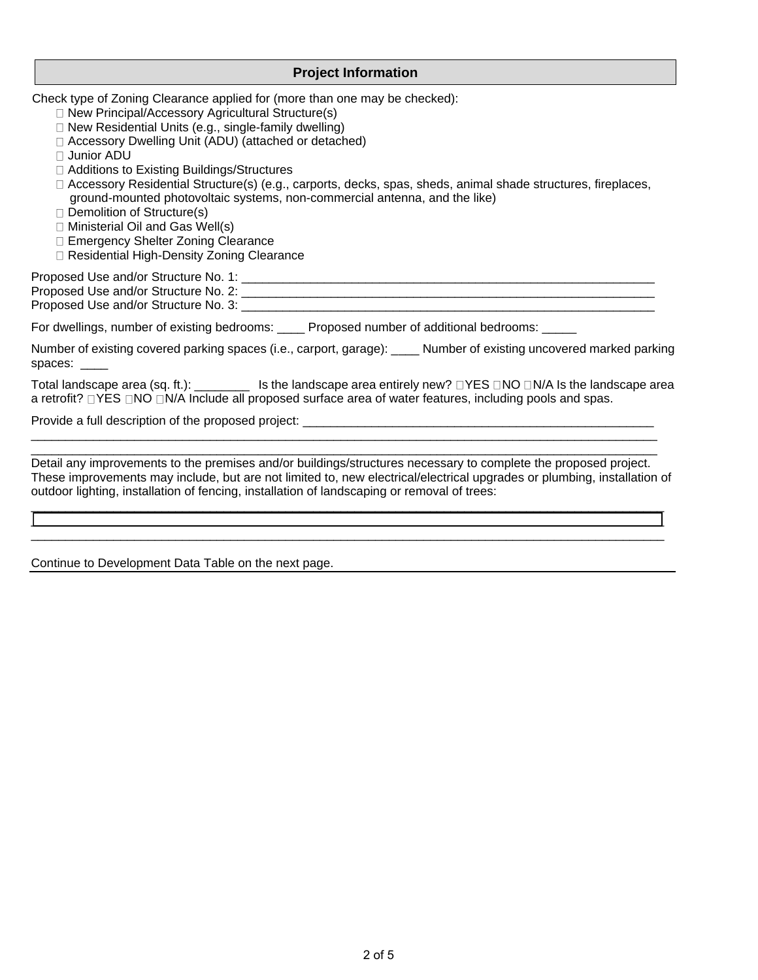#### **Project Information**

Check type of Zoning Clearance applied for (more than one may be checked):

- □ New Principal/Accessory Agricultural Structure(s)
- $\Box$  New Residential Units (e.g., single-family dwelling)
- Accessory Dwelling Unit (ADU) (attached or detached)
- Junior ADU
- □ Additions to Existing Buildings/Structures
- □ Accessory Residential Structure(s) (e.g., carports, decks, spas, sheds, animal shade structures, fireplaces, ground-mounted photovoltaic systems, non-commercial antenna, and the like)
- Demolition of Structure(s)
- Ministerial Oil and Gas Well(s)
- □ Emergency Shelter Zoning Clearance
- □ Residential High-Density Zoning Clearance

Proposed Use and/or Structure No. 1: \_\_\_\_\_\_\_\_\_\_\_\_\_\_\_\_\_\_\_\_\_\_\_\_\_\_\_\_\_\_\_\_\_\_\_\_\_\_\_\_\_\_\_\_\_\_\_\_\_\_\_\_\_\_\_\_\_\_\_\_

Proposed Use and/or Structure No. 2: \_\_\_\_\_\_\_\_\_\_\_\_\_\_\_\_\_\_\_\_\_\_\_\_\_\_\_\_\_\_\_\_\_\_\_\_\_\_\_\_\_\_\_\_\_\_\_\_\_\_\_\_\_\_\_\_\_\_\_\_

Proposed Use and/or Structure No. 3: \_\_\_\_\_\_\_\_\_\_\_\_\_\_\_\_\_\_\_\_\_\_\_\_\_\_\_\_\_\_\_\_\_\_\_\_\_\_\_\_\_\_\_\_\_\_\_\_\_\_\_\_\_\_\_\_\_\_\_\_

For dwellings, number of existing bedrooms: \_\_\_\_ Proposed number of additional bedrooms: \_\_\_\_\_

Number of existing covered parking spaces (i.e., carport, garage): \_\_\_\_ Number of existing uncovered marked parking spaces: \_\_\_\_

Total landscape area (sq. ft.): \_\_\_\_\_\_\_\_ Is the landscape area entirely new? DYES DNO DN/A Is the landscape area a retrofit?  $\Box$  YES  $\Box$ NO  $\Box$ N/A Include all proposed surface area of water features, including pools and spas.

Provide a full description of the proposed project: \_\_\_\_\_\_\_\_\_\_\_\_\_\_\_\_\_\_\_\_\_\_\_\_\_\_\_\_

 $\_$  ,  $\_$  ,  $\_$  ,  $\_$  ,  $\_$  ,  $\_$  ,  $\_$  ,  $\_$  ,  $\_$  ,  $\_$  ,  $\_$  ,  $\_$  ,  $\_$  ,  $\_$  ,  $\_$  ,  $\_$  ,  $\_$  ,  $\_$  ,  $\_$  ,  $\_$  ,  $\_$  ,  $\_$  ,  $\_$  ,  $\_$  ,  $\_$  ,  $\_$  ,  $\_$  ,  $\_$  ,  $\_$  ,  $\_$  ,  $\_$  ,  $\_$  ,  $\_$  ,  $\_$  ,  $\_$  ,  $\_$  ,  $\_$  , Detail any improvements to the premises and/or buildings/structures necessary to complete the proposed project. These improvements may include, but are not limited to, new electrical/electrical upgrades or plumbing, installation of outdoor lighting, installation of fencing, installation of landscaping or removal of trees:

\_\_\_\_\_\_\_\_\_\_\_\_\_\_\_\_\_\_\_\_\_\_\_\_\_\_\_\_\_\_\_\_\_\_\_\_\_\_\_\_\_\_\_\_\_\_\_\_\_\_\_\_\_\_\_\_\_\_\_\_\_\_\_\_\_\_\_\_\_\_\_\_\_\_\_\_\_\_\_\_\_\_\_\_\_\_\_\_\_\_\_\_ \_\_\_\_\_\_\_\_\_\_\_\_\_\_\_\_\_\_\_\_\_\_\_\_\_\_\_\_\_\_\_\_\_\_\_\_\_\_\_\_\_\_\_\_\_\_\_\_\_\_\_\_\_\_\_\_\_\_\_\_\_\_\_\_\_\_\_\_\_\_\_\_\_\_\_\_\_\_\_\_\_\_\_\_\_\_\_\_\_\_\_\_  $\_$  ,  $\_$  ,  $\_$  ,  $\_$  ,  $\_$  ,  $\_$  ,  $\_$  ,  $\_$  ,  $\_$  ,  $\_$  ,  $\_$  ,  $\_$  ,  $\_$  ,  $\_$  ,  $\_$  ,  $\_$  ,  $\_$  ,  $\_$  ,  $\_$  ,  $\_$  ,  $\_$  ,  $\_$  ,  $\_$  ,  $\_$  ,  $\_$  ,  $\_$  ,  $\_$  ,  $\_$  ,  $\_$  ,  $\_$  ,  $\_$  ,  $\_$  ,  $\_$  ,  $\_$  ,  $\_$  ,  $\_$  ,  $\_$  ,

 $\_$  ,  $\_$  ,  $\_$  ,  $\_$  ,  $\_$  ,  $\_$  ,  $\_$  ,  $\_$  ,  $\_$  ,  $\_$  ,  $\_$  ,  $\_$  ,  $\_$  ,  $\_$  ,  $\_$  ,  $\_$  ,  $\_$  ,  $\_$  ,  $\_$  ,  $\_$  ,  $\_$  ,  $\_$  ,  $\_$  ,  $\_$  ,  $\_$  ,  $\_$  ,  $\_$  ,  $\_$  ,  $\_$  ,  $\_$  ,  $\_$  ,  $\_$  ,  $\_$  ,  $\_$  ,  $\_$  ,  $\_$  ,  $\_$  ,

Continue to Development Data Table on the next page.

Page **9** of **12**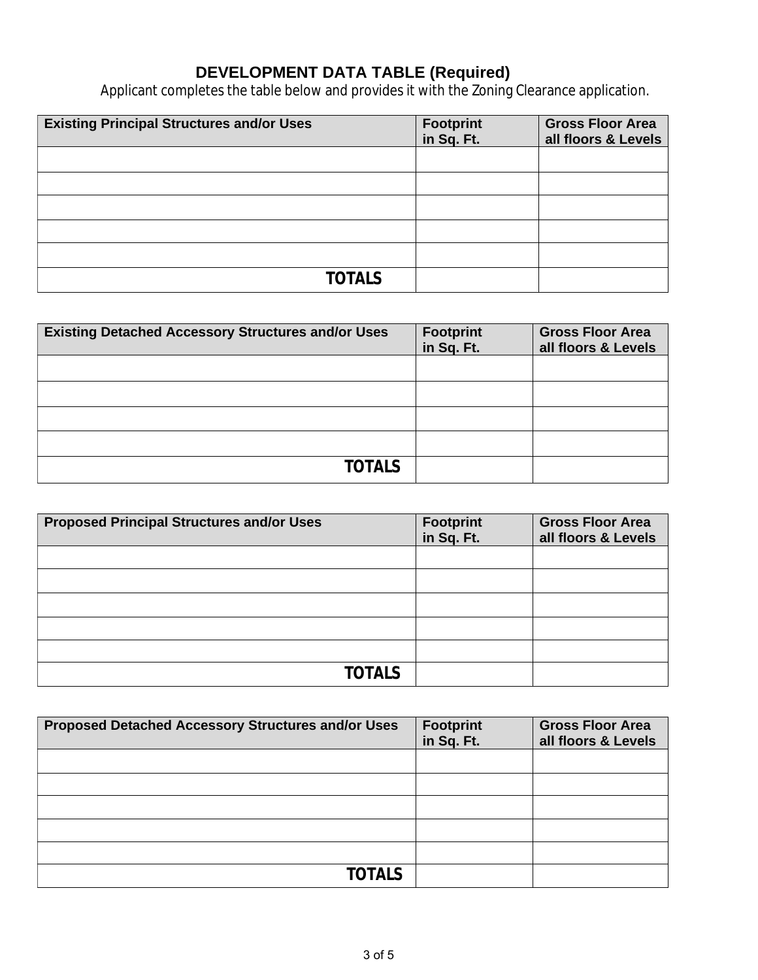### **DEVELOPMENT DATA TABLE (Required)**

Applicant completes the table below and provides it with the Zoning Clearance application.

| <b>Existing Principal Structures and/or Uses</b> | Footprint<br>in Sq. Ft. | <b>Gross Floor Area</b><br>all floors & Levels |
|--------------------------------------------------|-------------------------|------------------------------------------------|
|                                                  |                         |                                                |
|                                                  |                         |                                                |
|                                                  |                         |                                                |
|                                                  |                         |                                                |
|                                                  |                         |                                                |
| <b>TOTAIS</b>                                    |                         |                                                |

| <b>Existing Detached Accessory Structures and/or Uses</b> | Footprint<br>in Sq. Ft. | <b>Gross Floor Area</b><br>all floors & Levels |
|-----------------------------------------------------------|-------------------------|------------------------------------------------|
|                                                           |                         |                                                |
|                                                           |                         |                                                |
|                                                           |                         |                                                |
|                                                           |                         |                                                |
| <b>TOTALS</b>                                             |                         |                                                |

| <b>Proposed Principal Structures and/or Uses</b> | <b>Footprint</b><br>in Sq. Ft. | <b>Gross Floor Area</b><br>all floors & Levels |
|--------------------------------------------------|--------------------------------|------------------------------------------------|
|                                                  |                                |                                                |
|                                                  |                                |                                                |
|                                                  |                                |                                                |
|                                                  |                                |                                                |
|                                                  |                                |                                                |
| <b>TOTALS</b>                                    |                                |                                                |

| <b>Proposed Detached Accessory Structures and/or Uses</b> | <b>Footprint</b><br>in Sq. Ft. | <b>Gross Floor Area</b><br>all floors & Levels |
|-----------------------------------------------------------|--------------------------------|------------------------------------------------|
|                                                           |                                |                                                |
|                                                           |                                |                                                |
|                                                           |                                |                                                |
|                                                           |                                |                                                |
|                                                           |                                |                                                |
| <b>TOTALS</b>                                             |                                |                                                |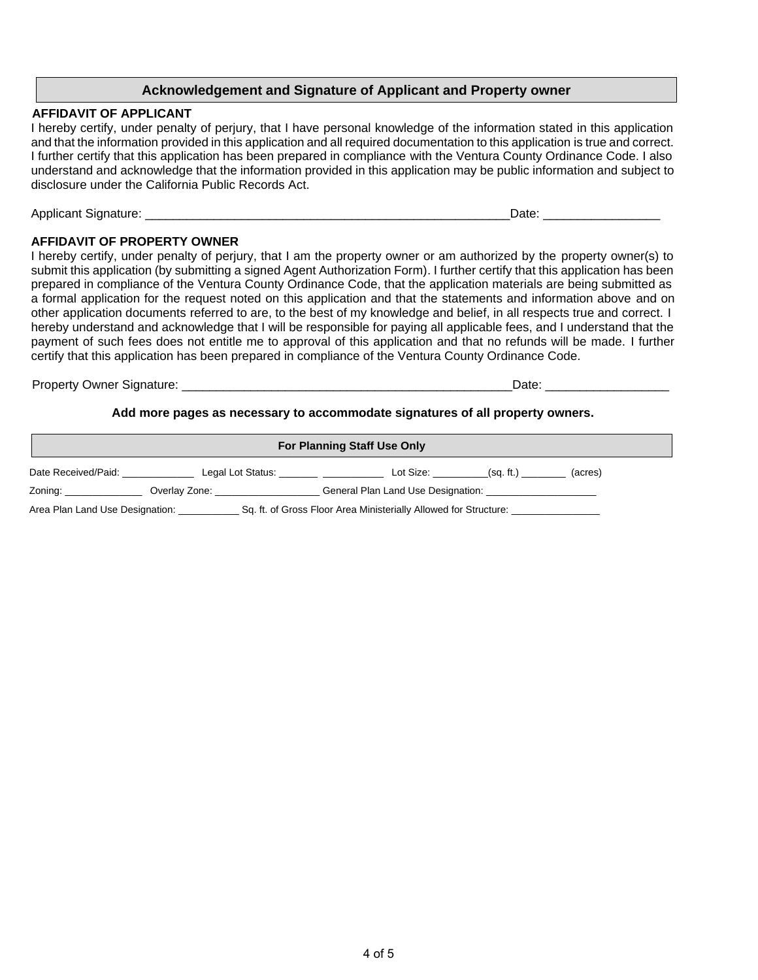#### **Acknowledgement and Signature of Applicant and Property owner**

#### **AFFIDAVIT OF APPLICANT**

I hereby certify, under penalty of perjury, that I have personal knowledge of the information stated in this application and that the information provided in this application and all required documentation to this application is true and correct. I further certify that this application has been prepared in compliance with the Ventura County Ordinance Code. I also understand and acknowledge that the information provided in this application may be public information and subject to disclosure under the California Public Records Act.

Applicant Signature: \_\_\_\_\_\_\_\_\_\_\_\_\_\_\_\_\_\_\_\_\_\_\_\_\_\_\_\_\_\_\_\_\_\_\_\_\_\_\_\_\_\_\_\_\_\_\_\_\_\_\_\_\_Date: \_\_\_\_\_\_\_\_\_\_\_\_\_\_\_\_\_

#### **AFFIDAVIT OF PROPERTY OWNER**

I hereby certify, under penalty of perjury, that I am the property owner or am authorized by the property owner(s) to submit this application (by submitting a signed Agent Authorization Form). I further certify that this application has been prepared in compliance of the Ventura County Ordinance Code, that the application materials are being submitted as a formal application for the request noted on this application and that the statements and information above and on other application documents referred to are, to the best of my knowledge and belief, in all respects true and correct. I hereby understand and acknowledge that I will be responsible for paying all applicable fees, and I understand that the payment of such fees does not entitle me to approval of this application and that no refunds will be made. I further certify that this application has been prepared in compliance of the Ventura County Ordinance Code.

Property Owner Signature:  $\Box$ 

#### **Add more pages as necessary to accommodate signatures of all property owners.**

| <b>For Planning Staff Use Only</b>                                                                  |                   |                                    |  |  |  |  |
|-----------------------------------------------------------------------------------------------------|-------------------|------------------------------------|--|--|--|--|
| Date Received/Paid:                                                                                 | Legal Lot Status: | Lot Size:<br>(sq. ft.)<br>(acres)  |  |  |  |  |
| Zoning:                                                                                             | Overlay Zone:     | General Plan Land Use Designation: |  |  |  |  |
| Sq. ft. of Gross Floor Area Ministerially Allowed for Structure:<br>Area Plan Land Use Designation: |                   |                                    |  |  |  |  |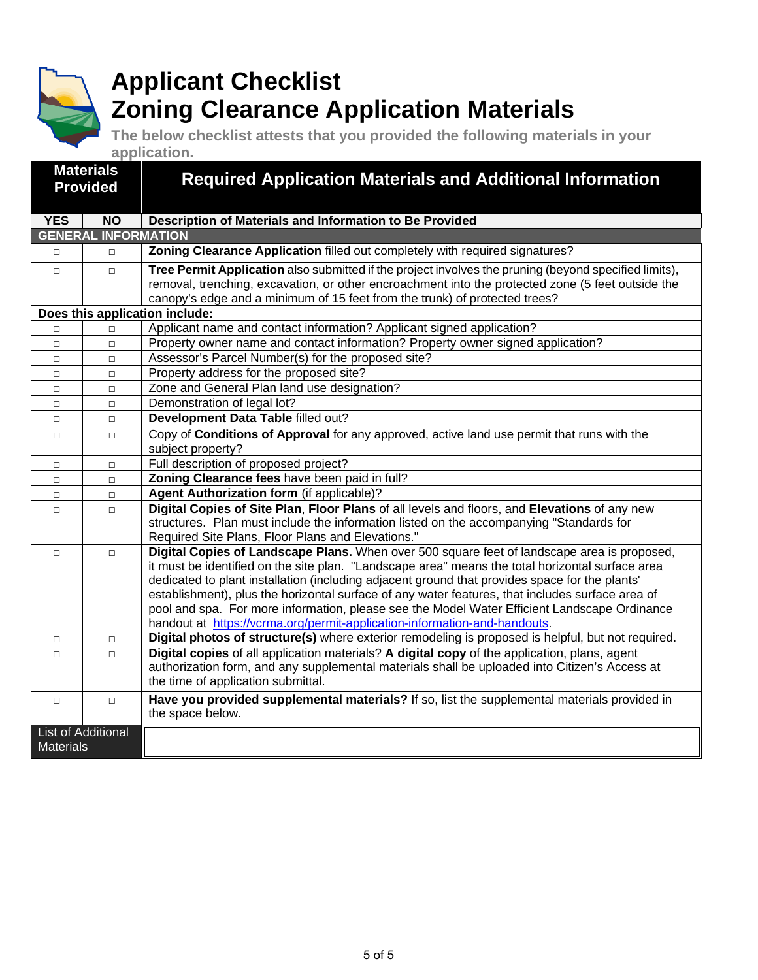

# **Applicant Checklist Zoning Clearance Application Materials**

**The below checklist attests that you provided the following materials in your application.**

| <b>Materials</b>                       |                            | <b>Required Application Materials and Additional Information</b>                                                                                                                                                                                                                                                                                                                                                                                                                                                                                                                   |  |  |  |
|----------------------------------------|----------------------------|------------------------------------------------------------------------------------------------------------------------------------------------------------------------------------------------------------------------------------------------------------------------------------------------------------------------------------------------------------------------------------------------------------------------------------------------------------------------------------------------------------------------------------------------------------------------------------|--|--|--|
| <b>Provided</b>                        |                            |                                                                                                                                                                                                                                                                                                                                                                                                                                                                                                                                                                                    |  |  |  |
|                                        |                            |                                                                                                                                                                                                                                                                                                                                                                                                                                                                                                                                                                                    |  |  |  |
| <b>YES</b>                             | <b>NO</b>                  | Description of Materials and Information to Be Provided                                                                                                                                                                                                                                                                                                                                                                                                                                                                                                                            |  |  |  |
|                                        | <b>GENERAL INFORMATION</b> |                                                                                                                                                                                                                                                                                                                                                                                                                                                                                                                                                                                    |  |  |  |
| $\Box$                                 | $\Box$                     | Zoning Clearance Application filled out completely with required signatures?                                                                                                                                                                                                                                                                                                                                                                                                                                                                                                       |  |  |  |
| $\Box$                                 | $\Box$                     | Tree Permit Application also submitted if the project involves the pruning (beyond specified limits),<br>removal, trenching, excavation, or other encroachment into the protected zone (5 feet outside the<br>canopy's edge and a minimum of 15 feet from the trunk) of protected trees?                                                                                                                                                                                                                                                                                           |  |  |  |
|                                        |                            | Does this application include:                                                                                                                                                                                                                                                                                                                                                                                                                                                                                                                                                     |  |  |  |
| $\Box$                                 | $\Box$                     | Applicant name and contact information? Applicant signed application?                                                                                                                                                                                                                                                                                                                                                                                                                                                                                                              |  |  |  |
| $\Box$                                 | $\Box$                     | Property owner name and contact information? Property owner signed application?                                                                                                                                                                                                                                                                                                                                                                                                                                                                                                    |  |  |  |
| $\Box$                                 | $\Box$                     | Assessor's Parcel Number(s) for the proposed site?                                                                                                                                                                                                                                                                                                                                                                                                                                                                                                                                 |  |  |  |
| $\Box$                                 | $\Box$                     | Property address for the proposed site?                                                                                                                                                                                                                                                                                                                                                                                                                                                                                                                                            |  |  |  |
| $\Box$                                 | $\Box$                     | Zone and General Plan land use designation?                                                                                                                                                                                                                                                                                                                                                                                                                                                                                                                                        |  |  |  |
| $\Box$                                 | $\Box$                     | Demonstration of legal lot?                                                                                                                                                                                                                                                                                                                                                                                                                                                                                                                                                        |  |  |  |
| $\Box$                                 | $\Box$                     | Development Data Table filled out?                                                                                                                                                                                                                                                                                                                                                                                                                                                                                                                                                 |  |  |  |
| $\Box$                                 | $\Box$                     | Copy of Conditions of Approval for any approved, active land use permit that runs with the<br>subject property?                                                                                                                                                                                                                                                                                                                                                                                                                                                                    |  |  |  |
| $\Box$                                 | $\Box$                     | Full description of proposed project?                                                                                                                                                                                                                                                                                                                                                                                                                                                                                                                                              |  |  |  |
| $\Box$                                 | $\Box$                     | Zoning Clearance fees have been paid in full?                                                                                                                                                                                                                                                                                                                                                                                                                                                                                                                                      |  |  |  |
| $\Box$                                 | $\Box$                     | Agent Authorization form (if applicable)?                                                                                                                                                                                                                                                                                                                                                                                                                                                                                                                                          |  |  |  |
| $\Box$                                 | $\Box$                     | Digital Copies of Site Plan, Floor Plans of all levels and floors, and Elevations of any new<br>structures. Plan must include the information listed on the accompanying "Standards for<br>Required Site Plans, Floor Plans and Elevations."                                                                                                                                                                                                                                                                                                                                       |  |  |  |
| $\Box$                                 | $\Box$                     | Digital Copies of Landscape Plans. When over 500 square feet of landscape area is proposed,<br>it must be identified on the site plan. "Landscape area" means the total horizontal surface area<br>dedicated to plant installation (including adjacent ground that provides space for the plants'<br>establishment), plus the horizontal surface of any water features, that includes surface area of<br>pool and spa. For more information, please see the Model Water Efficient Landscape Ordinance<br>handout at https://vcrma.org/permit-application-information-and-handouts. |  |  |  |
| $\Box$                                 | $\Box$                     | Digital photos of structure(s) where exterior remodeling is proposed is helpful, but not required.                                                                                                                                                                                                                                                                                                                                                                                                                                                                                 |  |  |  |
| $\Box$                                 | $\Box$                     | Digital copies of all application materials? A digital copy of the application, plans, agent<br>authorization form, and any supplemental materials shall be uploaded into Citizen's Access at<br>the time of application submittal.                                                                                                                                                                                                                                                                                                                                                |  |  |  |
| $\Box$                                 | $\Box$                     | Have you provided supplemental materials? If so, list the supplemental materials provided in<br>the space below.                                                                                                                                                                                                                                                                                                                                                                                                                                                                   |  |  |  |
| List of Additional<br><b>Materials</b> |                            |                                                                                                                                                                                                                                                                                                                                                                                                                                                                                                                                                                                    |  |  |  |